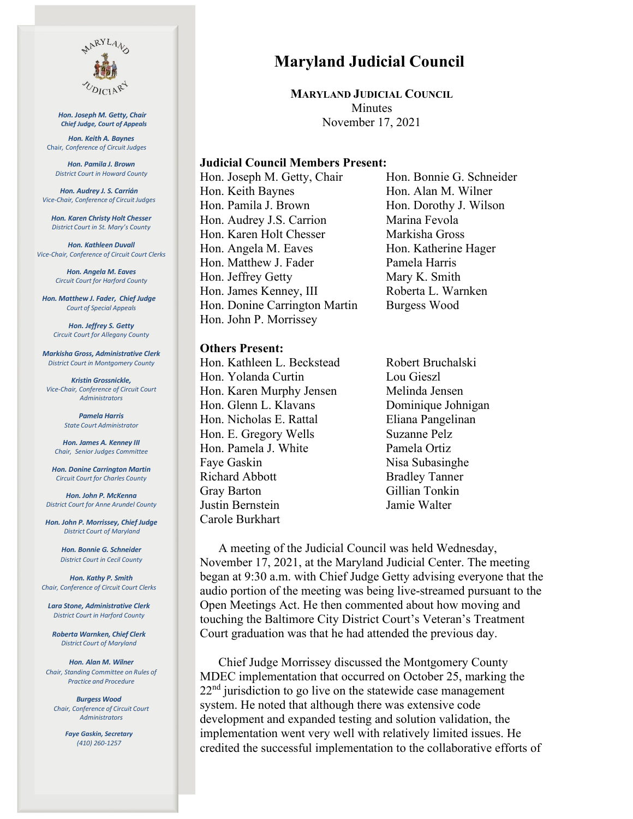

 *Hon. Joseph M. Getty, Chair Chief Judge, Court of Appeals*

*Hon. Keith A. Baynes*  Chair*, Conference of Circuit Judges*

*Hon. Pamila J. Brown District Court in Howard County*

*Hon. Audrey J. S. Carrián Vice-Chair, Conference of CircuitJudges*

*Hon. Karen Christy Holt Chesser District Court in St. Mary's County*

*Hon. Kathleen Duvall Vice-Chair, Conference of Circuit Court Clerks*

> *Hon. Angela M. Eaves Circuit Court for Harford County*

*Hon. Matthew J. Fader, Chief Judge Court of Special Appeals*

*Hon. Jeffrey S. Getty Circuit Court for Allegany County*

*Markisha Gross, Administrative Clerk District Court in Montgomery County*

*Kristin Grossnickle, Vice-Chair, Conference of Circuit Court Administrators*

> *Pamela Harris State Court Administrator*

*Hon. James A. Kenney III Chair, Senior Judges Committee*

*Hon. Donine Carrington Martin Circuit Court for Charles County*

*Hon. John P. McKenna District Court for Anne Arundel County* 

*Hon. John P. Morrissey, Chief Judge District Court of Maryland*

> *Hon. Bonnie G. Schneider District Court in Cecil County*

*Hon. Kathy P. Smith Chair, Conference of Circuit Court Clerks*

*Lara Stone, Administrative Clerk District Court in Harford County* 

*Roberta Warnken, Chief Clerk District Court of Maryland*

*Hon. Alan M. Wilner Chair, Standing Committee on Rules of Practice and Procedure*

*Burgess Wood Chair, Conference of Circuit Court Administrators*

> *Faye Gaskin, Secretary (410) 260-1257*

# **Maryland Judicial Council**

**MARYLAND JUDICIAL COUNCIL Minutes** November 17, 2021

#### **Judicial Council Members Present:**

Hon. Joseph M. Getty, Chair Hon. Bonnie G. Schneider Hon. Keith Baynes Hon. Alan M. Wilner Hon. Pamila J. Brown Hon. Dorothy J. Wilson Hon. Audrey J.S. Carrion Marina Fevola Hon. Karen Holt Chesser Markisha Gross Hon. Angela M. Eaves Hon. Katherine Hager Hon. Matthew J. Fader Pamela Harris Hon. Jeffrey Getty Mary K. Smith Hon. James Kenney, III Roberta L. Warnken Hon. Donine Carrington Martin Burgess Wood Hon. John P. Morrissey

#### **Others Present:**

Hon. Kathleen L. Beckstead Robert Bruchalski Hon. Yolanda Curtin Lou Gieszl Hon. Karen Murphy Jensen Melinda Jensen Hon. Glenn L. Klavans Dominique Johnigan Hon. Nicholas E. Rattal Eliana Pangelinan Hon. E. Gregory Wells Suzanne Pelz Hon. Pamela J. White Pamela Ortiz Faye Gaskin Nisa Subasinghe Richard Abbott Bradley Tanner Gray Barton Gillian Tonkin Justin Bernstein Jamie Walter Carole Burkhart

A meeting of the Judicial Council was held Wednesday, November 17, 2021, at the Maryland Judicial Center. The meeting began at 9:30 a.m. with Chief Judge Getty advising everyone that the audio portion of the meeting was being live-streamed pursuant to the Open Meetings Act. He then commented about how moving and touching the Baltimore City District Court's Veteran's Treatment Court graduation was that he had attended the previous day.

Chief Judge Morrissey discussed the Montgomery County MDEC implementation that occurred on October 25, marking the  $22<sup>nd</sup>$  jurisdiction to go live on the statewide case management system. He noted that although there was extensive code development and expanded testing and solution validation, the implementation went very well with relatively limited issues. He credited the successful implementation to the collaborative efforts of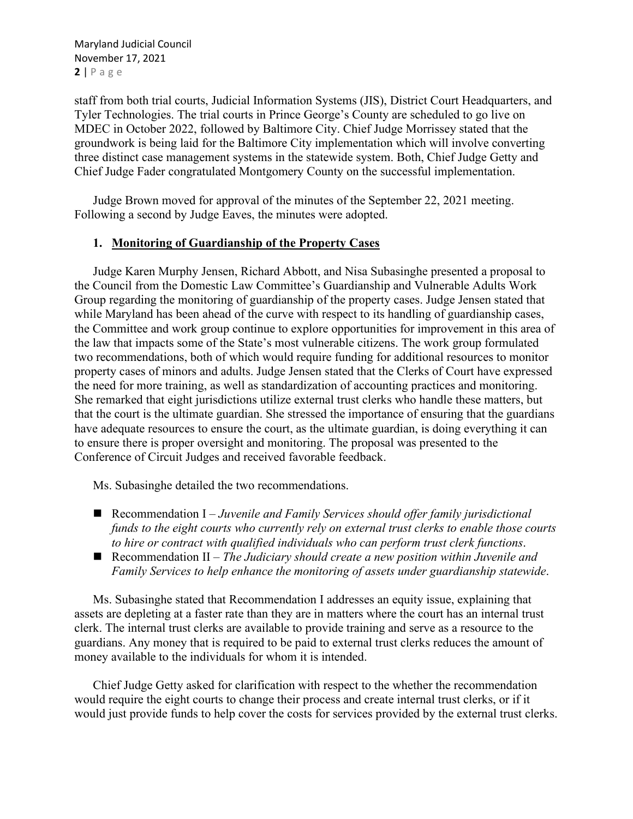Maryland Judicial Council November 17, 2021 **2** | Page

staff from both trial courts, Judicial Information Systems (JIS), District Court Headquarters, and Tyler Technologies. The trial courts in Prince George's County are scheduled to go live on MDEC in October 2022, followed by Baltimore City. Chief Judge Morrissey stated that the groundwork is being laid for the Baltimore City implementation which will involve converting three distinct case management systems in the statewide system. Both, Chief Judge Getty and Chief Judge Fader congratulated Montgomery County on the successful implementation.

Judge Brown moved for approval of the minutes of the September 22, 2021 meeting. Following a second by Judge Eaves, the minutes were adopted.

### **1. Monitoring of Guardianship of the Property Cases**

Judge Karen Murphy Jensen, Richard Abbott, and Nisa Subasinghe presented a proposal to the Council from the Domestic Law Committee's Guardianship and Vulnerable Adults Work Group regarding the monitoring of guardianship of the property cases. Judge Jensen stated that while Maryland has been ahead of the curve with respect to its handling of guardianship cases, the Committee and work group continue to explore opportunities for improvement in this area of the law that impacts some of the State's most vulnerable citizens. The work group formulated two recommendations, both of which would require funding for additional resources to monitor property cases of minors and adults. Judge Jensen stated that the Clerks of Court have expressed the need for more training, as well as standardization of accounting practices and monitoring. She remarked that eight jurisdictions utilize external trust clerks who handle these matters, but that the court is the ultimate guardian. She stressed the importance of ensuring that the guardians have adequate resources to ensure the court, as the ultimate guardian, is doing everything it can to ensure there is proper oversight and monitoring. The proposal was presented to the Conference of Circuit Judges and received favorable feedback.

Ms. Subasinghe detailed the two recommendations.

- Recommendation I *Juvenile and Family Services should offer family jurisdictional funds to the eight courts who currently rely on external trust clerks to enable those courts to hire or contract with qualified individuals who can perform trust clerk functions*.
- Recommendation II *The Judiciary should create a new position within Juvenile and Family Services to help enhance the monitoring of assets under guardianship statewide*.

Ms. Subasinghe stated that Recommendation I addresses an equity issue, explaining that assets are depleting at a faster rate than they are in matters where the court has an internal trust clerk. The internal trust clerks are available to provide training and serve as a resource to the guardians. Any money that is required to be paid to external trust clerks reduces the amount of money available to the individuals for whom it is intended.

Chief Judge Getty asked for clarification with respect to the whether the recommendation would require the eight courts to change their process and create internal trust clerks, or if it would just provide funds to help cover the costs for services provided by the external trust clerks.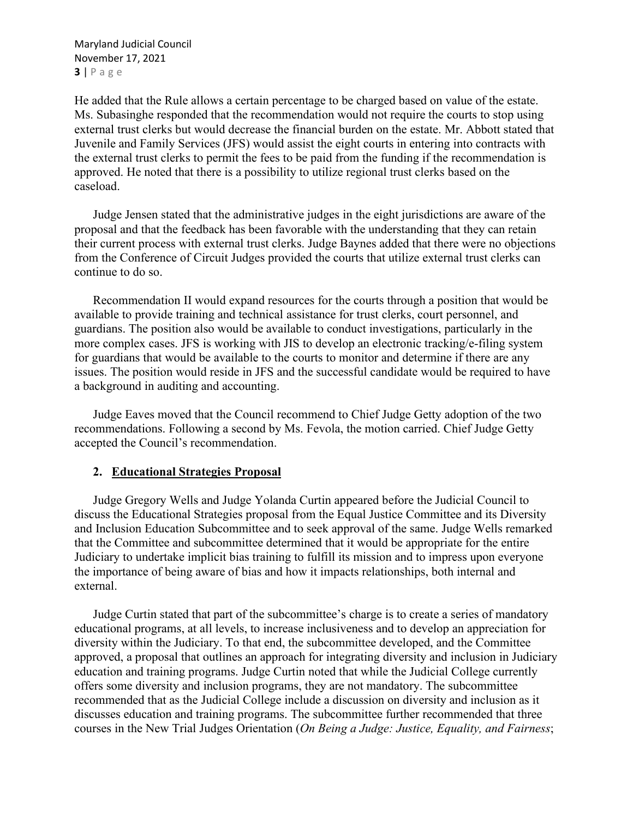Maryland Judicial Council November 17, 2021 **3** | Page

He added that the Rule allows a certain percentage to be charged based on value of the estate. Ms. Subasinghe responded that the recommendation would not require the courts to stop using external trust clerks but would decrease the financial burden on the estate. Mr. Abbott stated that Juvenile and Family Services (JFS) would assist the eight courts in entering into contracts with the external trust clerks to permit the fees to be paid from the funding if the recommendation is approved. He noted that there is a possibility to utilize regional trust clerks based on the caseload.

Judge Jensen stated that the administrative judges in the eight jurisdictions are aware of the proposal and that the feedback has been favorable with the understanding that they can retain their current process with external trust clerks. Judge Baynes added that there were no objections from the Conference of Circuit Judges provided the courts that utilize external trust clerks can continue to do so.

Recommendation II would expand resources for the courts through a position that would be available to provide training and technical assistance for trust clerks, court personnel, and guardians. The position also would be available to conduct investigations, particularly in the more complex cases. JFS is working with JIS to develop an electronic tracking/e-filing system for guardians that would be available to the courts to monitor and determine if there are any issues. The position would reside in JFS and the successful candidate would be required to have a background in auditing and accounting.

Judge Eaves moved that the Council recommend to Chief Judge Getty adoption of the two recommendations. Following a second by Ms. Fevola, the motion carried. Chief Judge Getty accepted the Council's recommendation.

#### **2. Educational Strategies Proposal**

Judge Gregory Wells and Judge Yolanda Curtin appeared before the Judicial Council to discuss the Educational Strategies proposal from the Equal Justice Committee and its Diversity and Inclusion Education Subcommittee and to seek approval of the same. Judge Wells remarked that the Committee and subcommittee determined that it would be appropriate for the entire Judiciary to undertake implicit bias training to fulfill its mission and to impress upon everyone the importance of being aware of bias and how it impacts relationships, both internal and external.

Judge Curtin stated that part of the subcommittee's charge is to create a series of mandatory educational programs, at all levels, to increase inclusiveness and to develop an appreciation for diversity within the Judiciary. To that end, the subcommittee developed, and the Committee approved, a proposal that outlines an approach for integrating diversity and inclusion in Judiciary education and training programs. Judge Curtin noted that while the Judicial College currently offers some diversity and inclusion programs, they are not mandatory. The subcommittee recommended that as the Judicial College include a discussion on diversity and inclusion as it discusses education and training programs. The subcommittee further recommended that three courses in the New Trial Judges Orientation (*On Being a Judge: Justice, Equality, and Fairness*;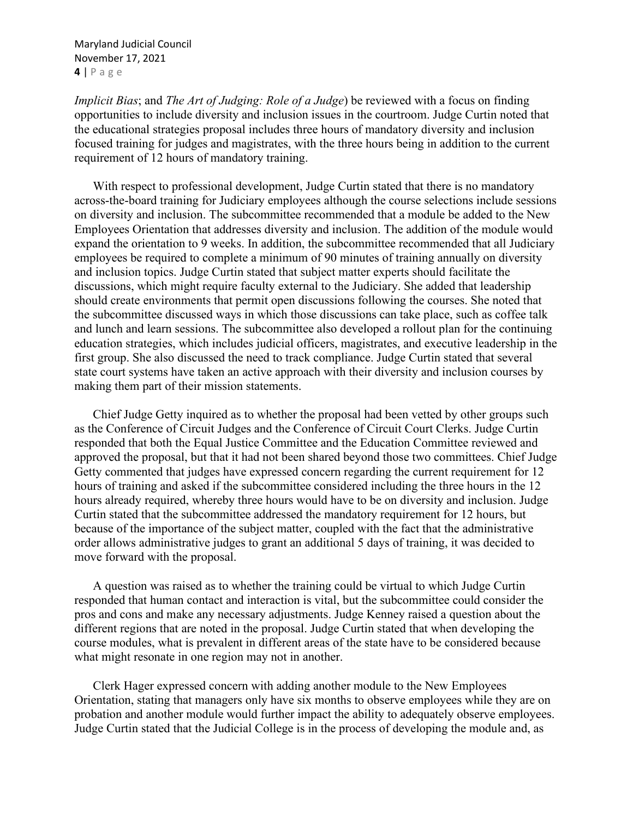Maryland Judicial Council November 17, 2021 **4** | Page

*Implicit Bias*; and *The Art of Judging: Role of a Judge*) be reviewed with a focus on finding opportunities to include diversity and inclusion issues in the courtroom. Judge Curtin noted that the educational strategies proposal includes three hours of mandatory diversity and inclusion focused training for judges and magistrates, with the three hours being in addition to the current requirement of 12 hours of mandatory training.

With respect to professional development, Judge Curtin stated that there is no mandatory across-the-board training for Judiciary employees although the course selections include sessions on diversity and inclusion. The subcommittee recommended that a module be added to the New Employees Orientation that addresses diversity and inclusion. The addition of the module would expand the orientation to 9 weeks. In addition, the subcommittee recommended that all Judiciary employees be required to complete a minimum of 90 minutes of training annually on diversity and inclusion topics. Judge Curtin stated that subject matter experts should facilitate the discussions, which might require faculty external to the Judiciary. She added that leadership should create environments that permit open discussions following the courses. She noted that the subcommittee discussed ways in which those discussions can take place, such as coffee talk and lunch and learn sessions. The subcommittee also developed a rollout plan for the continuing education strategies, which includes judicial officers, magistrates, and executive leadership in the first group. She also discussed the need to track compliance. Judge Curtin stated that several state court systems have taken an active approach with their diversity and inclusion courses by making them part of their mission statements.

Chief Judge Getty inquired as to whether the proposal had been vetted by other groups such as the Conference of Circuit Judges and the Conference of Circuit Court Clerks. Judge Curtin responded that both the Equal Justice Committee and the Education Committee reviewed and approved the proposal, but that it had not been shared beyond those two committees. Chief Judge Getty commented that judges have expressed concern regarding the current requirement for 12 hours of training and asked if the subcommittee considered including the three hours in the 12 hours already required, whereby three hours would have to be on diversity and inclusion. Judge Curtin stated that the subcommittee addressed the mandatory requirement for 12 hours, but because of the importance of the subject matter, coupled with the fact that the administrative order allows administrative judges to grant an additional 5 days of training, it was decided to move forward with the proposal.

A question was raised as to whether the training could be virtual to which Judge Curtin responded that human contact and interaction is vital, but the subcommittee could consider the pros and cons and make any necessary adjustments. Judge Kenney raised a question about the different regions that are noted in the proposal. Judge Curtin stated that when developing the course modules, what is prevalent in different areas of the state have to be considered because what might resonate in one region may not in another.

Clerk Hager expressed concern with adding another module to the New Employees Orientation, stating that managers only have six months to observe employees while they are on probation and another module would further impact the ability to adequately observe employees. Judge Curtin stated that the Judicial College is in the process of developing the module and, as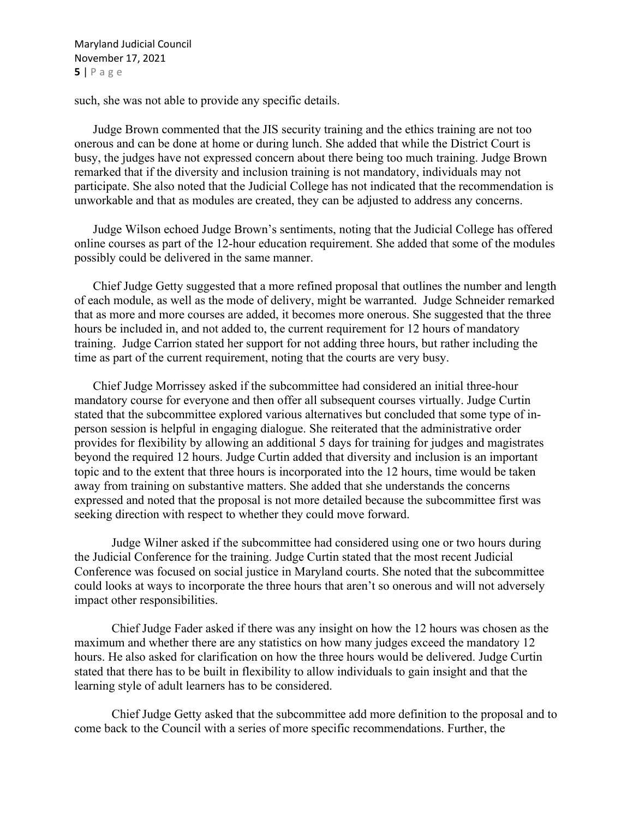Maryland Judicial Council November 17, 2021 **5** | Page

such, she was not able to provide any specific details.

Judge Brown commented that the JIS security training and the ethics training are not too onerous and can be done at home or during lunch. She added that while the District Court is busy, the judges have not expressed concern about there being too much training. Judge Brown remarked that if the diversity and inclusion training is not mandatory, individuals may not participate. She also noted that the Judicial College has not indicated that the recommendation is unworkable and that as modules are created, they can be adjusted to address any concerns.

Judge Wilson echoed Judge Brown's sentiments, noting that the Judicial College has offered online courses as part of the 12-hour education requirement. She added that some of the modules possibly could be delivered in the same manner.

Chief Judge Getty suggested that a more refined proposal that outlines the number and length of each module, as well as the mode of delivery, might be warranted. Judge Schneider remarked that as more and more courses are added, it becomes more onerous. She suggested that the three hours be included in, and not added to, the current requirement for 12 hours of mandatory training. Judge Carrion stated her support for not adding three hours, but rather including the time as part of the current requirement, noting that the courts are very busy.

Chief Judge Morrissey asked if the subcommittee had considered an initial three-hour mandatory course for everyone and then offer all subsequent courses virtually. Judge Curtin stated that the subcommittee explored various alternatives but concluded that some type of inperson session is helpful in engaging dialogue. She reiterated that the administrative order provides for flexibility by allowing an additional 5 days for training for judges and magistrates beyond the required 12 hours. Judge Curtin added that diversity and inclusion is an important topic and to the extent that three hours is incorporated into the 12 hours, time would be taken away from training on substantive matters. She added that she understands the concerns expressed and noted that the proposal is not more detailed because the subcommittee first was seeking direction with respect to whether they could move forward.

Judge Wilner asked if the subcommittee had considered using one or two hours during the Judicial Conference for the training. Judge Curtin stated that the most recent Judicial Conference was focused on social justice in Maryland courts. She noted that the subcommittee could looks at ways to incorporate the three hours that aren't so onerous and will not adversely impact other responsibilities.

Chief Judge Fader asked if there was any insight on how the 12 hours was chosen as the maximum and whether there are any statistics on how many judges exceed the mandatory 12 hours. He also asked for clarification on how the three hours would be delivered. Judge Curtin stated that there has to be built in flexibility to allow individuals to gain insight and that the learning style of adult learners has to be considered.

Chief Judge Getty asked that the subcommittee add more definition to the proposal and to come back to the Council with a series of more specific recommendations. Further, the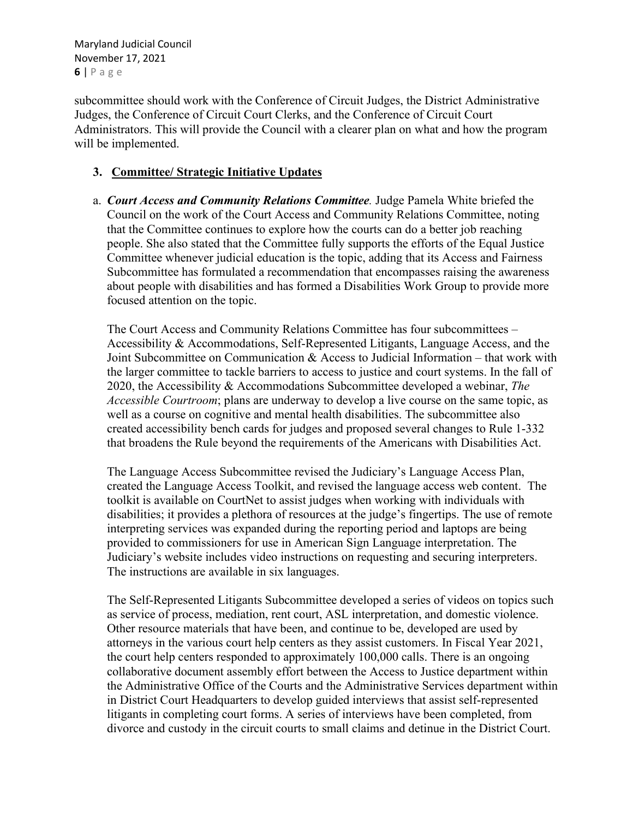Maryland Judicial Council November 17, 2021 **6** | Page

subcommittee should work with the Conference of Circuit Judges, the District Administrative Judges, the Conference of Circuit Court Clerks, and the Conference of Circuit Court Administrators. This will provide the Council with a clearer plan on what and how the program will be implemented.

## **3. Committee/ Strategic Initiative Updates**

a. *Court Access and Community Relations Committee.* Judge Pamela White briefed the Council on the work of the Court Access and Community Relations Committee, noting that the Committee continues to explore how the courts can do a better job reaching people. She also stated that the Committee fully supports the efforts of the Equal Justice Committee whenever judicial education is the topic, adding that its Access and Fairness Subcommittee has formulated a recommendation that encompasses raising the awareness about people with disabilities and has formed a Disabilities Work Group to provide more focused attention on the topic.

The Court Access and Community Relations Committee has four subcommittees – Accessibility & Accommodations, Self-Represented Litigants, Language Access, and the Joint Subcommittee on Communication & Access to Judicial Information – that work with the larger committee to tackle barriers to access to justice and court systems. In the fall of 2020, the Accessibility & Accommodations Subcommittee developed a webinar, *The Accessible Courtroom*; plans are underway to develop a live course on the same topic, as well as a course on cognitive and mental health disabilities. The subcommittee also created accessibility bench cards for judges and proposed several changes to Rule 1-332 that broadens the Rule beyond the requirements of the Americans with Disabilities Act.

The Language Access Subcommittee revised the Judiciary's Language Access Plan, created the Language Access Toolkit, and revised the language access web content. The toolkit is available on CourtNet to assist judges when working with individuals with disabilities; it provides a plethora of resources at the judge's fingertips. The use of remote interpreting services was expanded during the reporting period and laptops are being provided to commissioners for use in American Sign Language interpretation. The Judiciary's website includes video instructions on requesting and securing interpreters. The instructions are available in six languages.

The Self-Represented Litigants Subcommittee developed a series of videos on topics such as service of process, mediation, rent court, ASL interpretation, and domestic violence. Other resource materials that have been, and continue to be, developed are used by attorneys in the various court help centers as they assist customers. In Fiscal Year 2021, the court help centers responded to approximately 100,000 calls. There is an ongoing collaborative document assembly effort between the Access to Justice department within the Administrative Office of the Courts and the Administrative Services department within in District Court Headquarters to develop guided interviews that assist self-represented litigants in completing court forms. A series of interviews have been completed, from divorce and custody in the circuit courts to small claims and detinue in the District Court.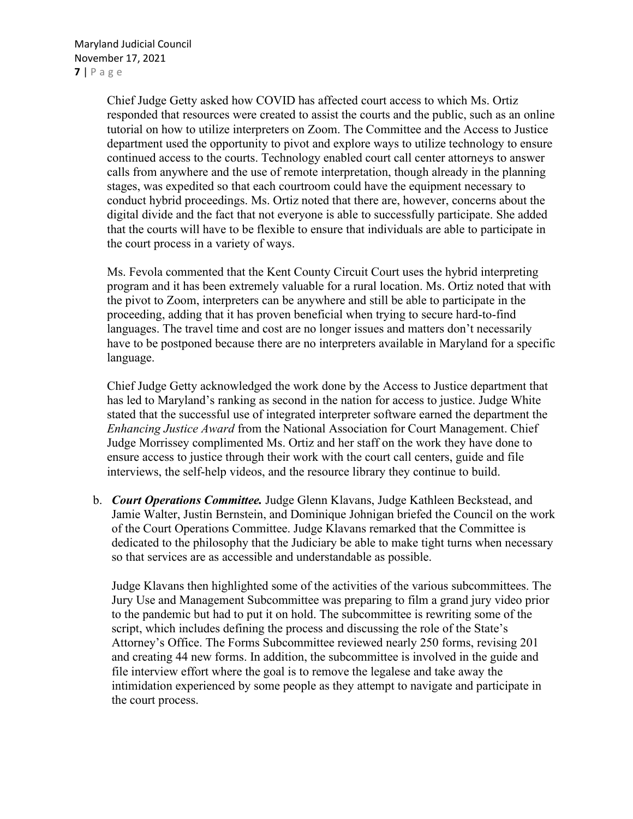Chief Judge Getty asked how COVID has affected court access to which Ms. Ortiz responded that resources were created to assist the courts and the public, such as an online tutorial on how to utilize interpreters on Zoom. The Committee and the Access to Justice department used the opportunity to pivot and explore ways to utilize technology to ensure continued access to the courts. Technology enabled court call center attorneys to answer calls from anywhere and the use of remote interpretation, though already in the planning stages, was expedited so that each courtroom could have the equipment necessary to conduct hybrid proceedings. Ms. Ortiz noted that there are, however, concerns about the digital divide and the fact that not everyone is able to successfully participate. She added that the courts will have to be flexible to ensure that individuals are able to participate in the court process in a variety of ways.

Ms. Fevola commented that the Kent County Circuit Court uses the hybrid interpreting program and it has been extremely valuable for a rural location. Ms. Ortiz noted that with the pivot to Zoom, interpreters can be anywhere and still be able to participate in the proceeding, adding that it has proven beneficial when trying to secure hard-to-find languages. The travel time and cost are no longer issues and matters don't necessarily have to be postponed because there are no interpreters available in Maryland for a specific language.

Chief Judge Getty acknowledged the work done by the Access to Justice department that has led to Maryland's ranking as second in the nation for access to justice. Judge White stated that the successful use of integrated interpreter software earned the department the *Enhancing Justice Award* from the National Association for Court Management. Chief Judge Morrissey complimented Ms. Ortiz and her staff on the work they have done to ensure access to justice through their work with the court call centers, guide and file interviews, the self-help videos, and the resource library they continue to build.

b. *Court Operations Committee.* Judge Glenn Klavans, Judge Kathleen Beckstead, and Jamie Walter, Justin Bernstein, and Dominique Johnigan briefed the Council on the work of the Court Operations Committee. Judge Klavans remarked that the Committee is dedicated to the philosophy that the Judiciary be able to make tight turns when necessary so that services are as accessible and understandable as possible.

Judge Klavans then highlighted some of the activities of the various subcommittees. The Jury Use and Management Subcommittee was preparing to film a grand jury video prior to the pandemic but had to put it on hold. The subcommittee is rewriting some of the script, which includes defining the process and discussing the role of the State's Attorney's Office. The Forms Subcommittee reviewed nearly 250 forms, revising 201 and creating 44 new forms. In addition, the subcommittee is involved in the guide and file interview effort where the goal is to remove the legalese and take away the intimidation experienced by some people as they attempt to navigate and participate in the court process.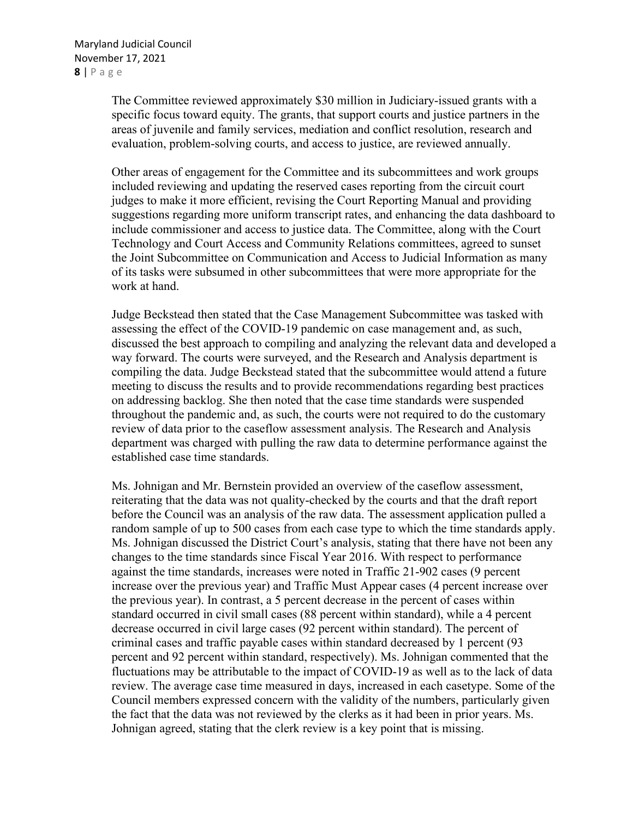The Committee reviewed approximately \$30 million in Judiciary-issued grants with a specific focus toward equity. The grants, that support courts and justice partners in the areas of juvenile and family services, mediation and conflict resolution, research and evaluation, problem-solving courts, and access to justice, are reviewed annually.

Other areas of engagement for the Committee and its subcommittees and work groups included reviewing and updating the reserved cases reporting from the circuit court judges to make it more efficient, revising the Court Reporting Manual and providing suggestions regarding more uniform transcript rates, and enhancing the data dashboard to include commissioner and access to justice data. The Committee, along with the Court Technology and Court Access and Community Relations committees, agreed to sunset the Joint Subcommittee on Communication and Access to Judicial Information as many of its tasks were subsumed in other subcommittees that were more appropriate for the work at hand.

Judge Beckstead then stated that the Case Management Subcommittee was tasked with assessing the effect of the COVID-19 pandemic on case management and, as such, discussed the best approach to compiling and analyzing the relevant data and developed a way forward. The courts were surveyed, and the Research and Analysis department is compiling the data. Judge Beckstead stated that the subcommittee would attend a future meeting to discuss the results and to provide recommendations regarding best practices on addressing backlog. She then noted that the case time standards were suspended throughout the pandemic and, as such, the courts were not required to do the customary review of data prior to the caseflow assessment analysis. The Research and Analysis department was charged with pulling the raw data to determine performance against the established case time standards.

Ms. Johnigan and Mr. Bernstein provided an overview of the caseflow assessment, reiterating that the data was not quality-checked by the courts and that the draft report before the Council was an analysis of the raw data. The assessment application pulled a random sample of up to 500 cases from each case type to which the time standards apply. Ms. Johnigan discussed the District Court's analysis, stating that there have not been any changes to the time standards since Fiscal Year 2016. With respect to performance against the time standards, increases were noted in Traffic 21-902 cases (9 percent increase over the previous year) and Traffic Must Appear cases (4 percent increase over the previous year). In contrast, a 5 percent decrease in the percent of cases within standard occurred in civil small cases (88 percent within standard), while a 4 percent decrease occurred in civil large cases (92 percent within standard). The percent of criminal cases and traffic payable cases within standard decreased by 1 percent (93 percent and 92 percent within standard, respectively). Ms. Johnigan commented that the fluctuations may be attributable to the impact of COVID-19 as well as to the lack of data review. The average case time measured in days, increased in each casetype. Some of the Council members expressed concern with the validity of the numbers, particularly given the fact that the data was not reviewed by the clerks as it had been in prior years. Ms. Johnigan agreed, stating that the clerk review is a key point that is missing.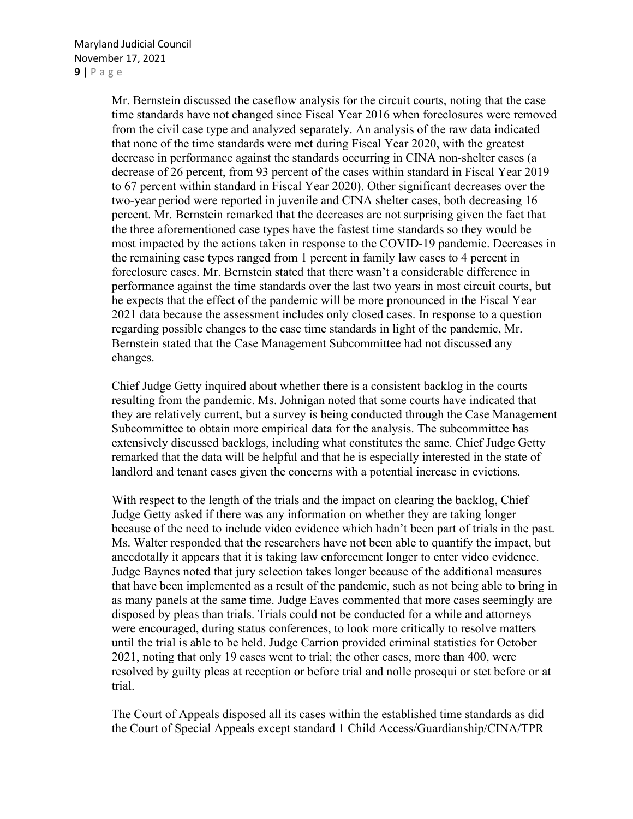Mr. Bernstein discussed the caseflow analysis for the circuit courts, noting that the case time standards have not changed since Fiscal Year 2016 when foreclosures were removed from the civil case type and analyzed separately. An analysis of the raw data indicated that none of the time standards were met during Fiscal Year 2020, with the greatest decrease in performance against the standards occurring in CINA non-shelter cases (a decrease of 26 percent, from 93 percent of the cases within standard in Fiscal Year 2019 to 67 percent within standard in Fiscal Year 2020). Other significant decreases over the two-year period were reported in juvenile and CINA shelter cases, both decreasing 16 percent. Mr. Bernstein remarked that the decreases are not surprising given the fact that the three aforementioned case types have the fastest time standards so they would be most impacted by the actions taken in response to the COVID-19 pandemic. Decreases in the remaining case types ranged from 1 percent in family law cases to 4 percent in foreclosure cases. Mr. Bernstein stated that there wasn't a considerable difference in performance against the time standards over the last two years in most circuit courts, but he expects that the effect of the pandemic will be more pronounced in the Fiscal Year 2021 data because the assessment includes only closed cases. In response to a question regarding possible changes to the case time standards in light of the pandemic, Mr. Bernstein stated that the Case Management Subcommittee had not discussed any changes.

Chief Judge Getty inquired about whether there is a consistent backlog in the courts resulting from the pandemic. Ms. Johnigan noted that some courts have indicated that they are relatively current, but a survey is being conducted through the Case Management Subcommittee to obtain more empirical data for the analysis. The subcommittee has extensively discussed backlogs, including what constitutes the same. Chief Judge Getty remarked that the data will be helpful and that he is especially interested in the state of landlord and tenant cases given the concerns with a potential increase in evictions.

With respect to the length of the trials and the impact on clearing the backlog, Chief Judge Getty asked if there was any information on whether they are taking longer because of the need to include video evidence which hadn't been part of trials in the past. Ms. Walter responded that the researchers have not been able to quantify the impact, but anecdotally it appears that it is taking law enforcement longer to enter video evidence. Judge Baynes noted that jury selection takes longer because of the additional measures that have been implemented as a result of the pandemic, such as not being able to bring in as many panels at the same time. Judge Eaves commented that more cases seemingly are disposed by pleas than trials. Trials could not be conducted for a while and attorneys were encouraged, during status conferences, to look more critically to resolve matters until the trial is able to be held. Judge Carrion provided criminal statistics for October 2021, noting that only 19 cases went to trial; the other cases, more than 400, were resolved by guilty pleas at reception or before trial and nolle prosequi or stet before or at trial.

The Court of Appeals disposed all its cases within the established time standards as did the Court of Special Appeals except standard 1 Child Access/Guardianship/CINA/TPR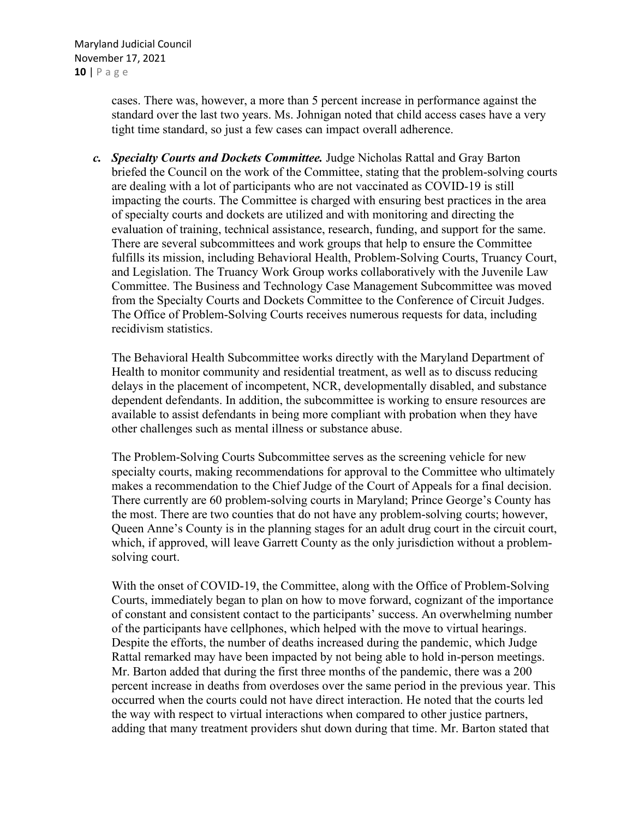Maryland Judicial Council November 17, 2021 **10** | Page

> cases. There was, however, a more than 5 percent increase in performance against the standard over the last two years. Ms. Johnigan noted that child access cases have a very tight time standard, so just a few cases can impact overall adherence.

*c. Specialty Courts and Dockets Committee.* Judge Nicholas Rattal and Gray Barton briefed the Council on the work of the Committee, stating that the problem-solving courts are dealing with a lot of participants who are not vaccinated as COVID-19 is still impacting the courts. The Committee is charged with ensuring best practices in the area of specialty courts and dockets are utilized and with monitoring and directing the evaluation of training, technical assistance, research, funding, and support for the same. There are several subcommittees and work groups that help to ensure the Committee fulfills its mission, including Behavioral Health, Problem-Solving Courts, Truancy Court, and Legislation. The Truancy Work Group works collaboratively with the Juvenile Law Committee. The Business and Technology Case Management Subcommittee was moved from the Specialty Courts and Dockets Committee to the Conference of Circuit Judges. The Office of Problem-Solving Courts receives numerous requests for data, including recidivism statistics.

The Behavioral Health Subcommittee works directly with the Maryland Department of Health to monitor community and residential treatment, as well as to discuss reducing delays in the placement of incompetent, NCR, developmentally disabled, and substance dependent defendants. In addition, the subcommittee is working to ensure resources are available to assist defendants in being more compliant with probation when they have other challenges such as mental illness or substance abuse.

The Problem-Solving Courts Subcommittee serves as the screening vehicle for new specialty courts, making recommendations for approval to the Committee who ultimately makes a recommendation to the Chief Judge of the Court of Appeals for a final decision. There currently are 60 problem-solving courts in Maryland; Prince George's County has the most. There are two counties that do not have any problem-solving courts; however, Queen Anne's County is in the planning stages for an adult drug court in the circuit court, which, if approved, will leave Garrett County as the only jurisdiction without a problemsolving court.

With the onset of COVID-19, the Committee, along with the Office of Problem-Solving Courts, immediately began to plan on how to move forward, cognizant of the importance of constant and consistent contact to the participants' success. An overwhelming number of the participants have cellphones, which helped with the move to virtual hearings. Despite the efforts, the number of deaths increased during the pandemic, which Judge Rattal remarked may have been impacted by not being able to hold in-person meetings. Mr. Barton added that during the first three months of the pandemic, there was a 200 percent increase in deaths from overdoses over the same period in the previous year. This occurred when the courts could not have direct interaction. He noted that the courts led the way with respect to virtual interactions when compared to other justice partners, adding that many treatment providers shut down during that time. Mr. Barton stated that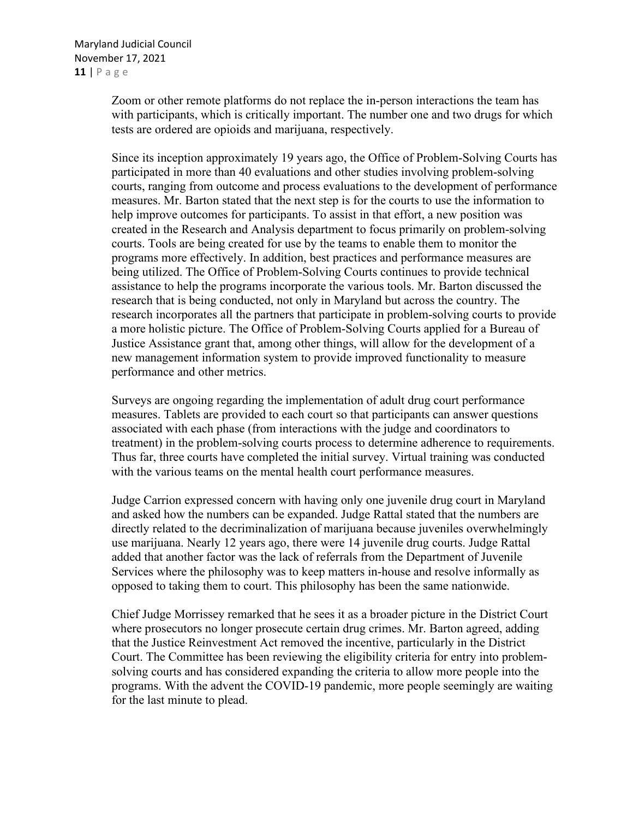Zoom or other remote platforms do not replace the in-person interactions the team has with participants, which is critically important. The number one and two drugs for which tests are ordered are opioids and marijuana, respectively.

Since its inception approximately 19 years ago, the Office of Problem-Solving Courts has participated in more than 40 evaluations and other studies involving problem-solving courts, ranging from outcome and process evaluations to the development of performance measures. Mr. Barton stated that the next step is for the courts to use the information to help improve outcomes for participants. To assist in that effort, a new position was created in the Research and Analysis department to focus primarily on problem-solving courts. Tools are being created for use by the teams to enable them to monitor the programs more effectively. In addition, best practices and performance measures are being utilized. The Office of Problem-Solving Courts continues to provide technical assistance to help the programs incorporate the various tools. Mr. Barton discussed the research that is being conducted, not only in Maryland but across the country. The research incorporates all the partners that participate in problem-solving courts to provide a more holistic picture. The Office of Problem-Solving Courts applied for a Bureau of Justice Assistance grant that, among other things, will allow for the development of a new management information system to provide improved functionality to measure performance and other metrics.

Surveys are ongoing regarding the implementation of adult drug court performance measures. Tablets are provided to each court so that participants can answer questions associated with each phase (from interactions with the judge and coordinators to treatment) in the problem-solving courts process to determine adherence to requirements. Thus far, three courts have completed the initial survey. Virtual training was conducted with the various teams on the mental health court performance measures.

Judge Carrion expressed concern with having only one juvenile drug court in Maryland and asked how the numbers can be expanded. Judge Rattal stated that the numbers are directly related to the decriminalization of marijuana because juveniles overwhelmingly use marijuana. Nearly 12 years ago, there were 14 juvenile drug courts. Judge Rattal added that another factor was the lack of referrals from the Department of Juvenile Services where the philosophy was to keep matters in-house and resolve informally as opposed to taking them to court. This philosophy has been the same nationwide.

Chief Judge Morrissey remarked that he sees it as a broader picture in the District Court where prosecutors no longer prosecute certain drug crimes. Mr. Barton agreed, adding that the Justice Reinvestment Act removed the incentive, particularly in the District Court. The Committee has been reviewing the eligibility criteria for entry into problemsolving courts and has considered expanding the criteria to allow more people into the programs. With the advent the COVID-19 pandemic, more people seemingly are waiting for the last minute to plead.